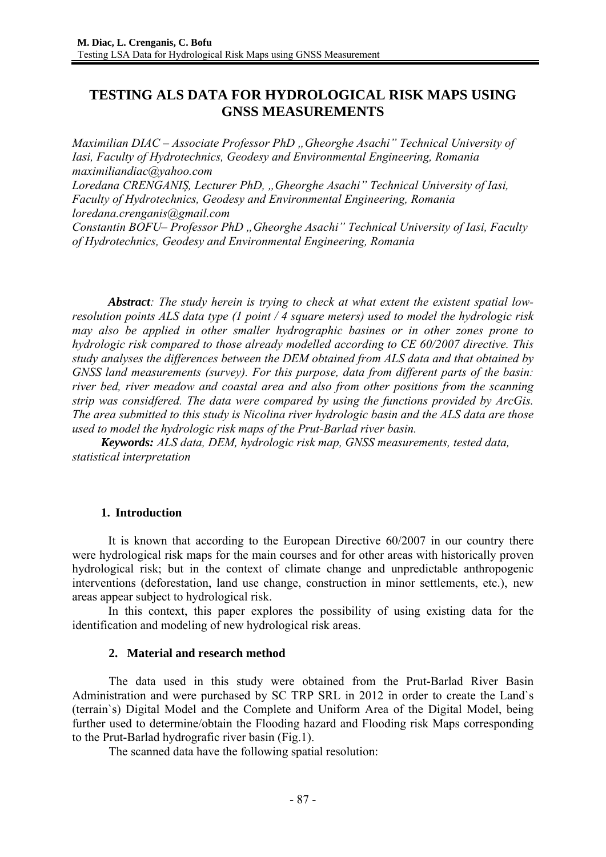# **TESTING ALS DATA FOR HYDROLOGICAL RISK MAPS USING GNSS MEASUREMENTS**

*Maximilian DIAC – Associate Professor PhD "Gheorghe Asachi" Technical University of Iasi, Faculty of Hydrotechnics, Geodesy and Environmental Engineering, Romania maximiliandiac@yahoo.com* 

*Loredana CRENGANIȘ, Lecturer PhD, "Gheorghe Asachi" Technical University of Iasi, Faculty of Hydrotechnics, Geodesy and Environmental Engineering, Romania loredana.crenganis@gmail.com* 

*Constantin BOFU– Professor PhD "Gheorghe Asachi" Technical University of Iasi, Faculty of Hydrotechnics, Geodesy and Environmental Engineering, Romania* 

*Abstract: The study herein is trying to check at what extent the existent spatial lowresolution points ALS data type (1 point / 4 square meters) used to model the hydrologic risk may also be applied in other smaller hydrographic basines or in other zones prone to hydrologic risk compared to those already modelled according to CE 60/2007 directive. This study analyses the differences between the DEM obtained from ALS data and that obtained by GNSS land measurements (survey). For this purpose, data from different parts of the basin: river bed, river meadow and coastal area and also from other positions from the scanning strip was considfered. The data were compared by using the functions provided by ArcGis. The area submitted to this study is Nicolina river hydrologic basin and the ALS data are those used to model the hydrologic risk maps of the Prut-Barlad river basin.* 

*Keywords: ALS data, DEM, hydrologic risk map, GNSS measurements, tested data, statistical interpretation*

#### **1. Introduction**

It is known that according to the European Directive 60/2007 in our country there were hydrological risk maps for the main courses and for other areas with historically proven hydrological risk; but in the context of climate change and unpredictable anthropogenic interventions (deforestation, land use change, construction in minor settlements, etc.), new areas appear subject to hydrological risk.

In this context, this paper explores the possibility of using existing data for the identification and modeling of new hydrological risk areas.

#### **2. Material and research method**

The data used in this study were obtained from the Prut-Barlad River Basin Administration and were purchased by SC TRP SRL in 2012 in order to create the Land`s (terrain`s) Digital Model and the Complete and Uniform Area of the Digital Model, being further used to determine/obtain the Flooding hazard and Flooding risk Maps corresponding to the Prut-Barlad hydrografic river basin (Fig.1).

The scanned data have the following spatial resolution: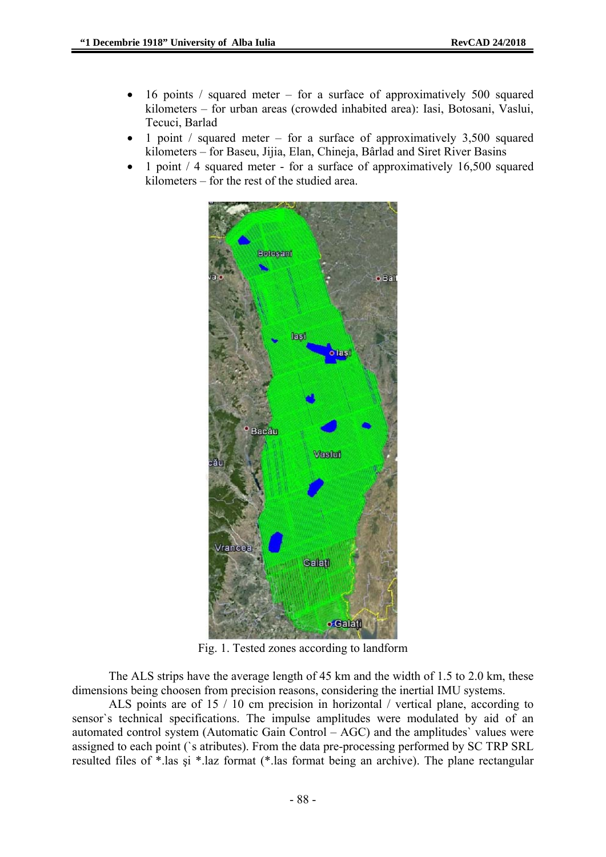- 16 points / squared meter for a surface of approximatively 500 squared kilometers – for urban areas (crowded inhabited area): Iasi, Botosani, Vaslui, Tecuci, Barlad
- 1 point / squared meter for a surface of approximatively  $3,500$  squared kilometers – for Baseu, Jijia, Elan, Chineja, Bârlad and Siret River Basins
- 1 point / 4 squared meter for a surface of approximatively 16,500 squared kilometers – for the rest of the studied area.



Fig. 1. Tested zones according to landform

The ALS strips have the average length of 45 km and the width of 1.5 to 2.0 km, these dimensions being choosen from precision reasons, considering the inertial IMU systems.

ALS points are of 15 / 10 cm precision in horizontal / vertical plane, according to sensor's technical specifications. The impulse amplitudes were modulated by aid of an automated control system (Automatic Gain Control – AGC) and the amplitudes` values were assigned to each point (`s atributes). From the data pre-processing performed by SC TRP SRL resulted files of \*.las şi \*.laz format (\*.las format being an archive). The plane rectangular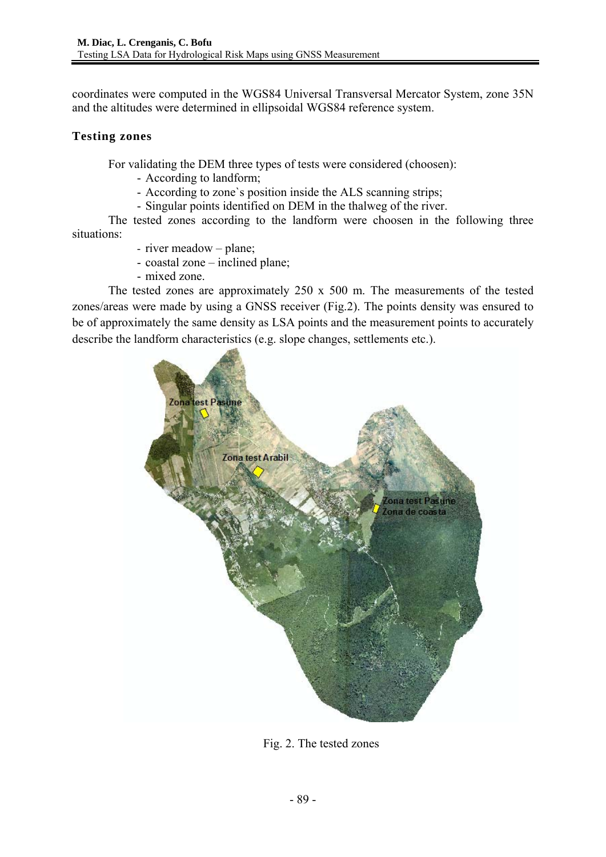coordinates were computed in the WGS84 Universal Transversal Mercator System, zone 35N and the altitudes were determined in ellipsoidal WGS84 reference system.

## **Testing zones**

For validating the DEM three types of tests were considered (choosen):

- According to landform;
- According to zone`s position inside the ALS scanning strips;
- Singular points identified on DEM in the thalweg of the river.

The tested zones according to the landform were choosen in the following three situations:

- river meadow plane;
- coastal zone inclined plane;
- mixed zone.

The tested zones are approximately 250 x 500 m. The measurements of the tested zones/areas were made by using a GNSS receiver (Fig.2). The points density was ensured to be of approximately the same density as LSA points and the measurement points to accurately describe the landform characteristics (e.g. slope changes, settlements etc.).



Fig. 2. The tested zones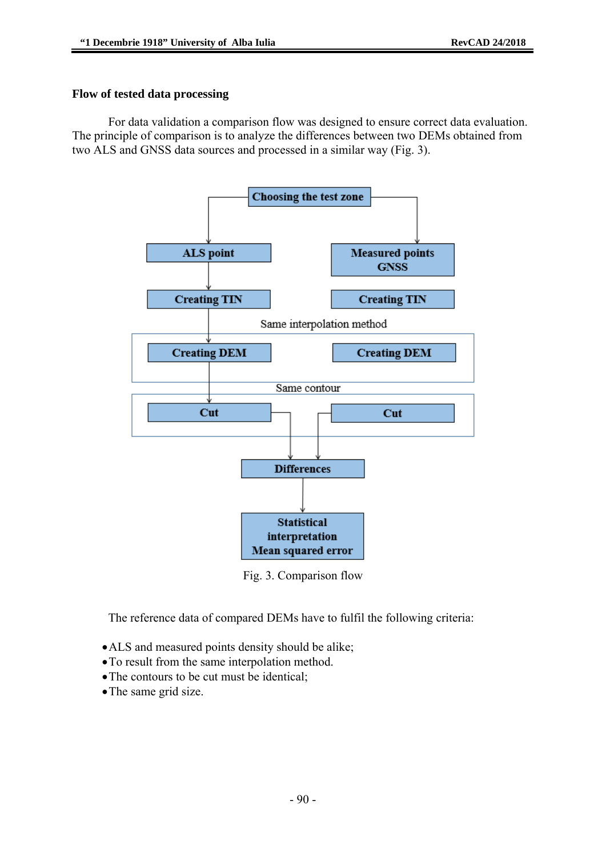#### **Flow of tested data processing**

For data validation a comparison flow was designed to ensure correct data evaluation. The principle of comparison is to analyze the differences between two DEMs obtained from two ALS and GNSS data sources and processed in a similar way (Fig. 3).



Fig. 3. Comparison flow

The reference data of compared DEMs have to fulfil the following criteria:

- •ALS and measured points density should be alike;
- •To result from the same interpolation method.
- •The contours to be cut must be identical;
- The same grid size.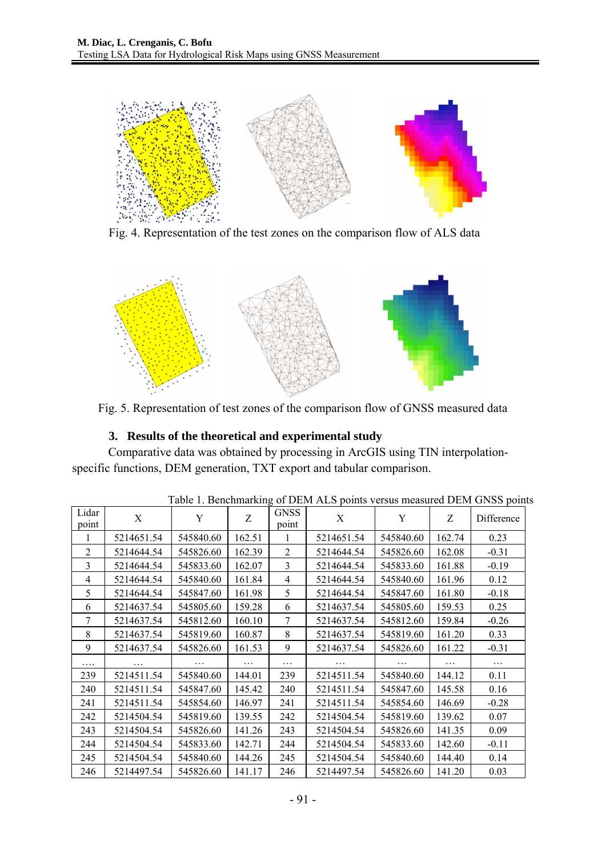

Fig. 4. Representation of the test zones on the comparison flow of ALS data



Fig. 5. Representation of test zones of the comparison flow of GNSS measured data

## **3. Results of the theoretical and experimental study**

Comparative data was obtained by processing in ArcGIS using TIN interpolationspecific functions, DEM generation, TXT export and tabular comparison.

| Facto 1. Denemiarking of DERITALS points versus measured DERI GINSS point |            |           |          |                      |            |           |          |            |
|---------------------------------------------------------------------------|------------|-----------|----------|----------------------|------------|-----------|----------|------------|
| Lidar<br>point                                                            | X          | Y         | Z        | <b>GNSS</b><br>point | X          | Y         | Z        | Difference |
| 1                                                                         | 5214651.54 | 545840.60 | 162.51   | 1                    | 5214651.54 | 545840.60 | 162.74   | 0.23       |
| 2                                                                         | 5214644.54 | 545826.60 | 162.39   | $\overline{c}$       | 5214644.54 | 545826.60 | 162.08   | $-0.31$    |
| 3                                                                         | 5214644.54 | 545833.60 | 162.07   | 3                    | 5214644.54 | 545833.60 | 161.88   | $-0.19$    |
| $\overline{4}$                                                            | 5214644.54 | 545840.60 | 161.84   | 4                    | 5214644.54 | 545840.60 | 161.96   | 0.12       |
| 5                                                                         | 5214644.54 | 545847.60 | 161.98   | 5                    | 5214644.54 | 545847.60 | 161.80   | $-0.18$    |
| 6                                                                         | 5214637.54 | 545805.60 | 159.28   | 6                    | 5214637.54 | 545805.60 | 159.53   | 0.25       |
| $\tau$                                                                    | 5214637.54 | 545812.60 | 160.10   | 7                    | 5214637.54 | 545812.60 | 159.84   | $-0.26$    |
| 8                                                                         | 5214637.54 | 545819.60 | 160.87   | 8                    | 5214637.54 | 545819.60 | 161.20   | 0.33       |
| 9                                                                         | 5214637.54 | 545826.60 | 161.53   | 9                    | 5214637.54 | 545826.60 | 161.22   | $-0.31$    |
| .                                                                         | $\cdots$   | .         | $\cdots$ | $\cdots$             | .          | .         | $\cdots$ | $\cdots$   |
| 239                                                                       | 5214511.54 | 545840.60 | 144.01   | 239                  | 5214511.54 | 545840.60 | 144.12   | 0.11       |
| 240                                                                       | 5214511.54 | 545847.60 | 145.42   | 240                  | 5214511.54 | 545847.60 | 145.58   | 0.16       |
| 241                                                                       | 5214511.54 | 545854.60 | 146.97   | 241                  | 5214511.54 | 545854.60 | 146.69   | $-0.28$    |
| 242                                                                       | 5214504.54 | 545819.60 | 139.55   | 242                  | 5214504.54 | 545819.60 | 139.62   | 0.07       |
| 243                                                                       | 5214504.54 | 545826.60 | 141.26   | 243                  | 5214504.54 | 545826.60 | 141.35   | 0.09       |
| 244                                                                       | 5214504.54 | 545833.60 | 142.71   | 244                  | 5214504.54 | 545833.60 | 142.60   | $-0.11$    |
| 245                                                                       | 5214504.54 | 545840.60 | 144.26   | 245                  | 5214504.54 | 545840.60 | 144.40   | 0.14       |
| 246                                                                       | 5214497.54 | 545826.60 | 141.17   | 246                  | 5214497.54 | 545826.60 | 141.20   | 0.03       |

Table 1. Benchmarking of DEM ALS points versus measured DEM GNSS points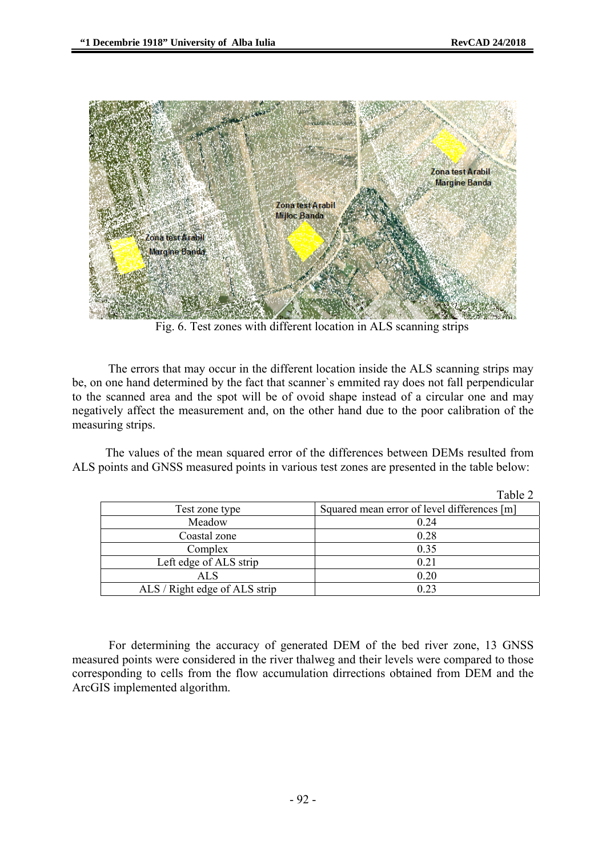

Fig. 6. Test zones with different location in ALS scanning strips

The errors that may occur in the different location inside the ALS scanning strips may be, on one hand determined by the fact that scanner`s emmited ray does not fall perpendicular to the scanned area and the spot will be of ovoid shape instead of a circular one and may negatively affect the measurement and, on the other hand due to the poor calibration of the measuring strips.

The values of the mean squared error of the differences between DEMs resulted from ALS points and GNSS measured points in various test zones are presented in the table below:

|                               | Table 2                                     |
|-------------------------------|---------------------------------------------|
| Test zone type                | Squared mean error of level differences [m] |
| Meadow                        | 0.24                                        |
| Coastal zone                  | 0.28                                        |
| Complex                       | 0.35                                        |
| Left edge of ALS strip        | 0.21                                        |
| ALS                           | 0.20                                        |
| ALS / Right edge of ALS strip | 0.23                                        |

For determining the accuracy of generated DEM of the bed river zone, 13 GNSS measured points were considered in the river thalweg and their levels were compared to those corresponding to cells from the flow accumulation dirrections obtained from DEM and the ArcGIS implemented algorithm.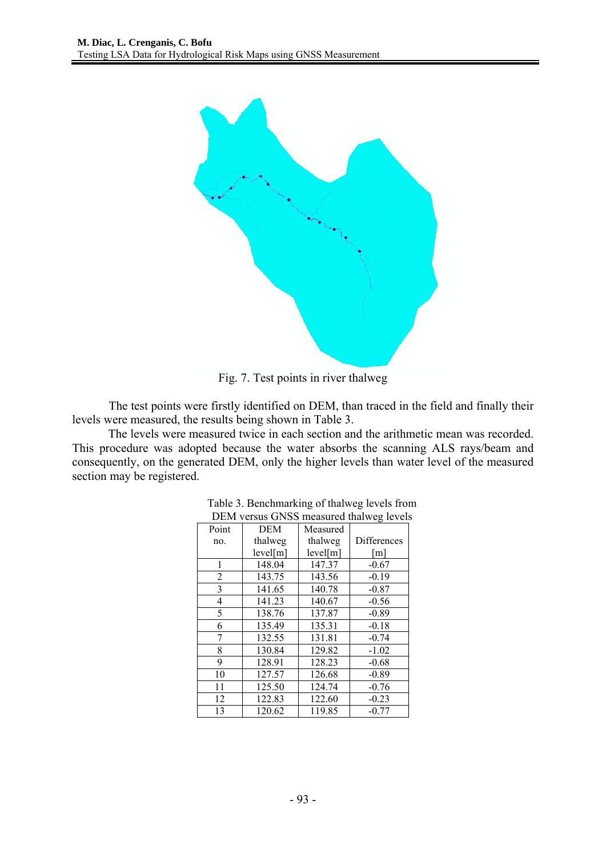

Fig. 7. Test points in river thalweg

The test points were firstly identified on DEM, than traced in the field and finally their levels were measured, the results being shown in Table 3.

The levels were measured twice in each section and the arithmetic mean was recorded. This procedure was adopted because the water absorbs the scanning ALS rays/beam and consequently, on the generated DEM, only the higher levels than water level of the measured section may be registered.

|                |          |          | ے ۔         |  |
|----------------|----------|----------|-------------|--|
| Point          | DEM      | Measured |             |  |
| no.            | thalweg  | thalweg  | Differences |  |
|                | level[m] | level[m] | [m]         |  |
| 1              | 148.04   | 147.37   | $-0.67$     |  |
| $\overline{2}$ | 143.75   | 143.56   | $-0.19$     |  |
| 3              | 141.65   | 140.78   | $-0.87$     |  |
| 4              | 141.23   | 140.67   | $-0.56$     |  |
| 5              | 138.76   | 137.87   | $-0.89$     |  |
| 6              | 135.49   | 135.31   | $-0.18$     |  |
| 7              | 132.55   | 131.81   | $-0.74$     |  |
| 8              | 130.84   | 129.82   | $-1.02$     |  |
| 9              | 128.91   | 128.23   | $-0.68$     |  |
| 10             | 127.57   | 126.68   | $-0.89$     |  |
| 11             | 125.50   | 124.74   | $-0.76$     |  |
| 12             | 122.83   | 122.60   | $-0.23$     |  |
| 13             | 120.62   | 119.85   | $-0.77$     |  |

| Table 3. Benchmarking of thalweg levels from |
|----------------------------------------------|
| DEM versus GNSS measured thalweg levels      |